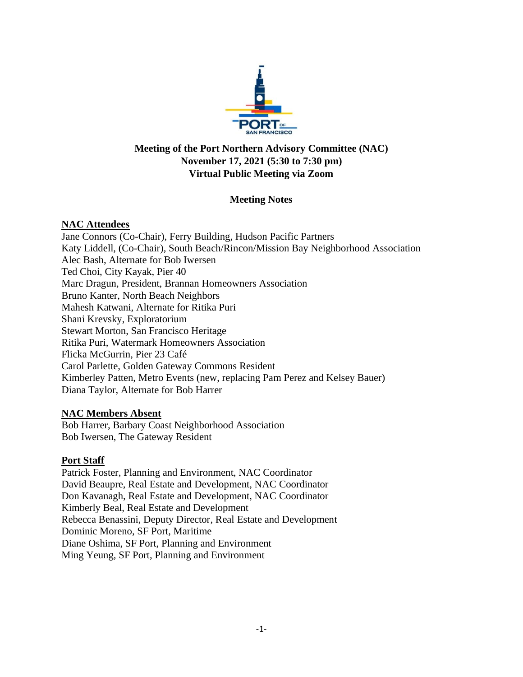

# **Meeting of the Port Northern Advisory Committee (NAC) November 17, 2021 (5:30 to 7:30 pm) Virtual Public Meeting via Zoom**

## **Meeting Notes**

## **NAC Attendees**

Jane Connors (Co-Chair), Ferry Building, Hudson Pacific Partners Katy Liddell, (Co-Chair), South Beach/Rincon/Mission Bay Neighborhood Association Alec Bash, Alternate for Bob Iwersen Ted Choi, City Kayak, Pier 40 Marc Dragun, President, Brannan Homeowners Association Bruno Kanter, North Beach Neighbors Mahesh Katwani, Alternate for Ritika Puri Shani Krevsky, Exploratorium Stewart Morton, San Francisco Heritage Ritika Puri, Watermark Homeowners Association Flicka McGurrin, Pier 23 Café Carol Parlette, Golden Gateway Commons Resident Kimberley Patten, Metro Events (new, replacing Pam Perez and Kelsey Bauer) Diana Taylor, Alternate for Bob Harrer

## **NAC Members Absent**

Bob Harrer, Barbary Coast Neighborhood Association Bob Iwersen, The Gateway Resident

## **Port Staff**

Patrick Foster, Planning and Environment, NAC Coordinator David Beaupre, Real Estate and Development, NAC Coordinator Don Kavanagh, Real Estate and Development, NAC Coordinator Kimberly Beal, Real Estate and Development Rebecca Benassini, Deputy Director, Real Estate and Development Dominic Moreno, SF Port, Maritime Diane Oshima, SF Port, Planning and Environment Ming Yeung, SF Port, Planning and Environment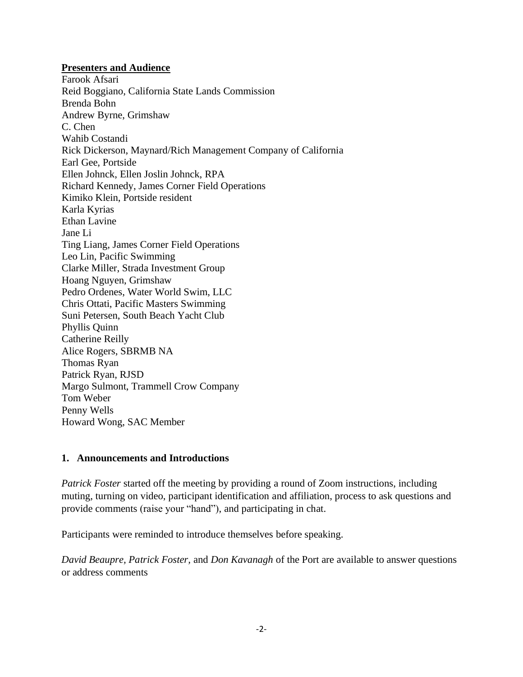#### **Presenters and Audience**

Farook Afsari Reid Boggiano, California State Lands Commission Brenda Bohn Andrew Byrne, Grimshaw C. Chen Wahib Costandi Rick Dickerson, Maynard/Rich Management Company of California Earl Gee, Portside Ellen Johnck, Ellen Joslin Johnck, RPA Richard Kennedy, James Corner Field Operations Kimiko Klein, Portside resident Karla Kyrias Ethan Lavine Jane Li Ting Liang, James Corner Field Operations Leo Lin, Pacific Swimming Clarke Miller, Strada Investment Group Hoang Nguyen, Grimshaw Pedro Ordenes, Water World Swim, LLC Chris Ottati, Pacific Masters Swimming Suni Petersen, South Beach Yacht Club Phyllis Quinn Catherine Reilly Alice Rogers, SBRMB NA Thomas Ryan Patrick Ryan, RJSD Margo Sulmont, Trammell Crow Company Tom Weber Penny Wells Howard Wong, SAC Member

## **1. Announcements and Introductions**

*Patrick Foster* started off the meeting by providing a round of Zoom instructions, including muting, turning on video, participant identification and affiliation, process to ask questions and provide comments (raise your "hand"), and participating in chat.

Participants were reminded to introduce themselves before speaking.

*David Beaupre, Patrick Foster,* and *Don Kavanagh* of the Port are available to answer questions or address comments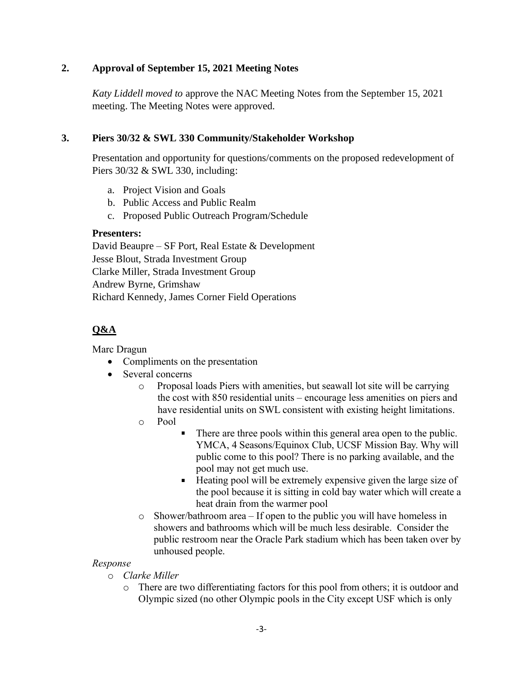## **2. Approval of September 15, 2021 Meeting Notes**

*Katy Liddell moved to* approve the NAC Meeting Notes from the September 15, 2021 meeting. The Meeting Notes were approved.

## **3. Piers 30/32 & SWL 330 Community/Stakeholder Workshop**

Presentation and opportunity for questions/comments on the proposed redevelopment of Piers 30/32 & SWL 330, including:

- a. Project Vision and Goals
- b. Public Access and Public Realm
- c. Proposed Public Outreach Program/Schedule

## **Presenters:**

David Beaupre – SF Port, Real Estate & Development Jesse Blout, Strada Investment Group Clarke Miller, Strada Investment Group Andrew Byrne, Grimshaw Richard Kennedy, James Corner Field Operations

# **Q&A**

Marc Dragun

- Compliments on the presentation
- Several concerns
	- o Proposal loads Piers with amenities, but seawall lot site will be carrying the cost with 850 residential units – encourage less amenities on piers and have residential units on SWL consistent with existing height limitations.
	- o Pool
- There are three pools within this general area open to the public. YMCA, 4 Seasons/Equinox Club, UCSF Mission Bay. Why will public come to this pool? There is no parking available, and the pool may not get much use.
- $\blacksquare$ Heating pool will be extremely expensive given the large size of the pool because it is sitting in cold bay water which will create a heat drain from the warmer pool
- o Shower/bathroom area If open to the public you will have homeless in showers and bathrooms which will be much less desirable. Consider the public restroom near the Oracle Park stadium which has been taken over by unhoused people.

## *Response*

- o *Clarke Miller*
	- o There are two differentiating factors for this pool from others; it is outdoor and Olympic sized (no other Olympic pools in the City except USF which is only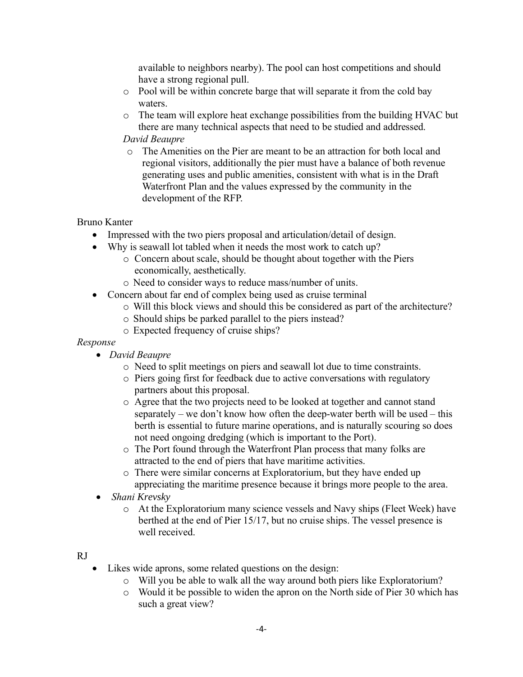available to neighbors nearby). The pool can host competitions and should have a strong regional pull.

- o Pool will be within concrete barge that will separate it from the cold bay waters.
- o The team will explore heat exchange possibilities from the building HVAC but there are many technical aspects that need to be studied and addressed.

## *David Beaupre*

o The Amenities on the Pier are meant to be an attraction for both local and regional visitors, additionally the pier must have a balance of both revenue generating uses and public amenities, consistent with what is in the Draft Waterfront Plan and the values expressed by the community in the development of the RFP.

## Bruno Kanter

- Impressed with the two piers proposal and articulation/detail of design.
- Why is seawall lot tabled when it needs the most work to catch up?
	- o Concern about scale, should be thought about together with the Piers economically, aesthetically.
	- o Need to consider ways to reduce mass/number of units.
- Concern about far end of complex being used as cruise terminal
	- o Will this block views and should this be considered as part of the architecture?
		- o Should ships be parked parallel to the piers instead?
		- o Expected frequency of cruise ships?

## *Response*

- *David Beaupre*
	- o Need to split meetings on piers and seawall lot due to time constraints.
	- o Piers going first for feedback due to active conversations with regulatory partners about this proposal.
	- o Agree that the two projects need to be looked at together and cannot stand separately – we don't know how often the deep-water berth will be used – this berth is essential to future marine operations, and is naturally scouring so does not need ongoing dredging (which is important to the Port).
	- o The Port found through the Waterfront Plan process that many folks are attracted to the end of piers that have maritime activities.
	- o There were similar concerns at Exploratorium, but they have ended up appreciating the maritime presence because it brings more people to the area.
- *Shani Krevsky*
	- o At the Exploratorium many science vessels and Navy ships (Fleet Week) have berthed at the end of Pier 15/17, but no cruise ships. The vessel presence is well received.

## RJ

- Likes wide aprons, some related questions on the design:
	- o Will you be able to walk all the way around both piers like Exploratorium?
	- o Would it be possible to widen the apron on the North side of Pier 30 which has such a great view?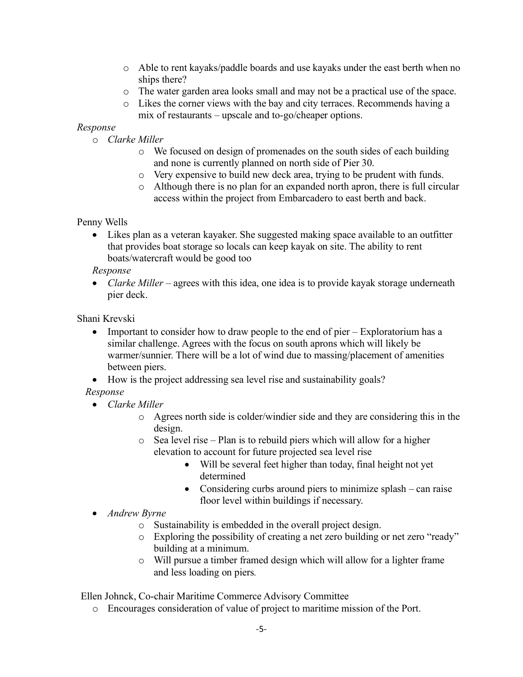- o Able to rent kayaks/paddle boards and use kayaks under the east berth when no ships there?
- o The water garden area looks small and may not be a practical use of the space.
- o Likes the corner views with the bay and city terraces. Recommends having a mix of restaurants – upscale and to-go/cheaper options.

### *Response*

- o *Clarke Miller*
	- o We focused on design of promenades on the south sides of each building and none is currently planned on north side of Pier 30.
	- o Very expensive to build new deck area, trying to be prudent with funds.
	- $\circ$  Although there is no plan for an expanded north apron, there is full circular access within the project from Embarcadero to east berth and back.

### Penny Wells

• Likes plan as a veteran kayaker. She suggested making space available to an outfitter that provides boat storage so locals can keep kayak on site. The ability to rent boats/watercraft would be good too

#### *Response*

• *Clarke Miller* – agrees with this idea, one idea is to provide kayak storage underneath pier deck.

Shani Krevski

- Important to consider how to draw people to the end of pier Exploratorium has a similar challenge. Agrees with the focus on south aprons which will likely be warmer/sunnier. There will be a lot of wind due to massing/placement of amenities between piers.
- How is the project addressing sea level rise and sustainability goals?
- *Response*
	- *Clarke Miller* 
		- o Agrees north side is colder/windier side and they are considering this in the design.
		- o Sea level rise Plan is to rebuild piers which will allow for a higher elevation to account for future projected sea level rise
			- Will be several feet higher than today, final height not yet determined
			- Considering curbs around piers to minimize splash can raise floor level within buildings if necessary.
	- *Andrew Byrne*
		- o Sustainability is embedded in the overall project design.
		- $\circ$  Exploring the possibility of creating a net zero building or net zero "ready" building at a minimum.
		- o Will pursue a timber framed design which will allow for a lighter frame and less loading on piers*.*

Ellen Johnck, Co-chair Maritime Commerce Advisory Committee

o Encourages consideration of value of project to maritime mission of the Port.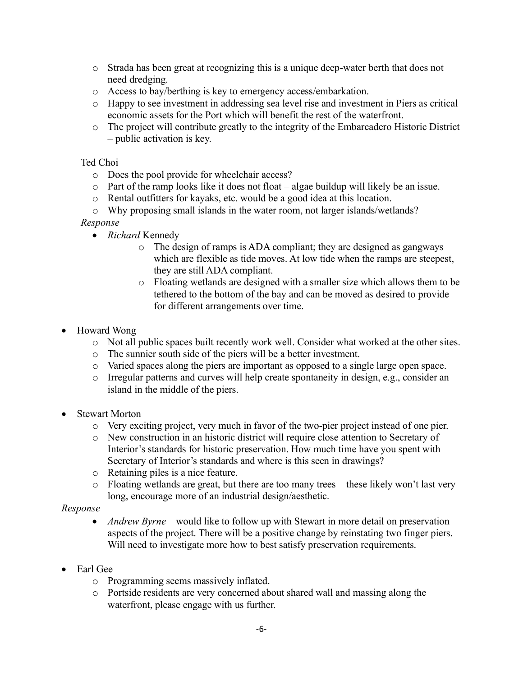- o Strada has been great at recognizing this is a unique deep-water berth that does not need dredging.
- o Access to bay/berthing is key to emergency access/embarkation.
- o Happy to see investment in addressing sea level rise and investment in Piers as critical economic assets for the Port which will benefit the rest of the waterfront.
- o The project will contribute greatly to the integrity of the Embarcadero Historic District – public activation is key.

#### Ted Choi

- o Does the pool provide for wheelchair access?
- $\circ$  Part of the ramp looks like it does not float algae buildup will likely be an issue.
- o Rental outfitters for kayaks, etc. would be a good idea at this location.
- o Why proposing small islands in the water room, not larger islands/wetlands?

#### *Response*

- *Richard* Kennedy
	- o The design of ramps is ADA compliant; they are designed as gangways which are flexible as tide moves. At low tide when the ramps are steepest, they are still ADA compliant.
	- o Floating wetlands are designed with a smaller size which allows them to be tethered to the bottom of the bay and can be moved as desired to provide for different arrangements over time.
- Howard Wong
	- o Not all public spaces built recently work well. Consider what worked at the other sites.
	- o The sunnier south side of the piers will be a better investment.
	- o Varied spaces along the piers are important as opposed to a single large open space.
	- o Irregular patterns and curves will help create spontaneity in design, e.g., consider an island in the middle of the piers.
- Stewart Morton
	- o Very exciting project, very much in favor of the two-pier project instead of one pier.
	- o New construction in an historic district will require close attention to Secretary of Interior's standards for historic preservation. How much time have you spent with Secretary of Interior's standards and where is this seen in drawings?
	- o Retaining piles is a nice feature.
	- o Floating wetlands are great, but there are too many trees these likely won't last very long, encourage more of an industrial design/aesthetic.

#### *Response*

- *Andrew Byrne* would like to follow up with Stewart in more detail on preservation aspects of the project. There will be a positive change by reinstating two finger piers. Will need to investigate more how to best satisfy preservation requirements.
- Earl Gee
	- o Programming seems massively inflated.
	- o Portside residents are very concerned about shared wall and massing along the waterfront, please engage with us further.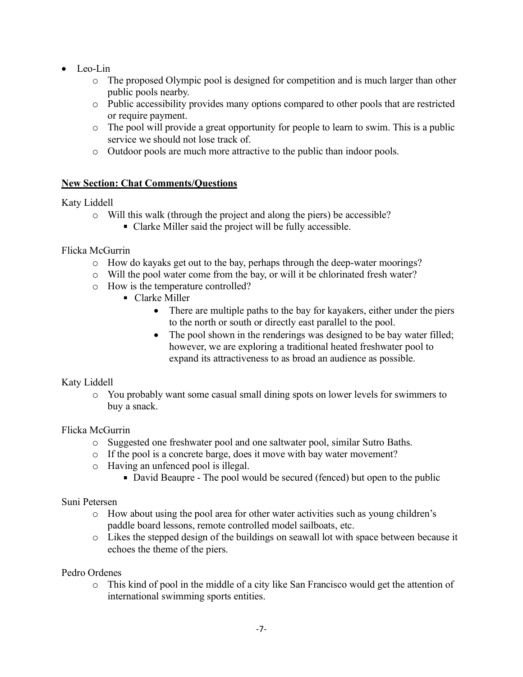- Leo-Lin
	- o The proposed Olympic pool is designed for competition and is much larger than other public pools nearby.
	- o Public accessibility provides many options compared to other pools that are restricted or require payment.
	- o The pool will provide a great opportunity for people to learn to swim. This is a public service we should not lose track of.
	- o Outdoor pools are much more attractive to the public than indoor pools.

## **New Section: Chat Comments/Questions**

## Katy Liddell

- o Will this walk (through the project and along the piers) be accessible?
	- Clarke Miller said the project will be fully accessible.

## Flicka McGurrin

- o How do kayaks get out to the bay, perhaps through the deep-water moorings?
- o Will the pool water come from the bay, or will it be chlorinated fresh water?
- o How is the temperature controlled?
	- Clarke Miller
		- There are multiple paths to the bay for kayakers, either under the piers to the north or south or directly east parallel to the pool.
		- The pool shown in the renderings was designed to be bay water filled; however, we are exploring a traditional heated freshwater pool to expand its attractiveness to as broad an audience as possible.

## Katy Liddell

o You probably want some casual small dining spots on lower levels for swimmers to buy a snack.

## Flicka McGurrin

- o Suggested one freshwater pool and one saltwater pool, similar Sutro Baths.
- o If the pool is a concrete barge, does it move with bay water movement?
- o Having an unfenced pool is illegal.
	- David Beaupre The pool would be secured (fenced) but open to the public

## Suni Petersen

- o How about using the pool area for other water activities such as young children's paddle board lessons, remote controlled model sailboats, etc.
- o Likes the stepped design of the buildings on seawall lot with space between because it echoes the theme of the piers.

## Pedro Ordenes

o This kind of pool in the middle of a city like San Francisco would get the attention of international swimming sports entities.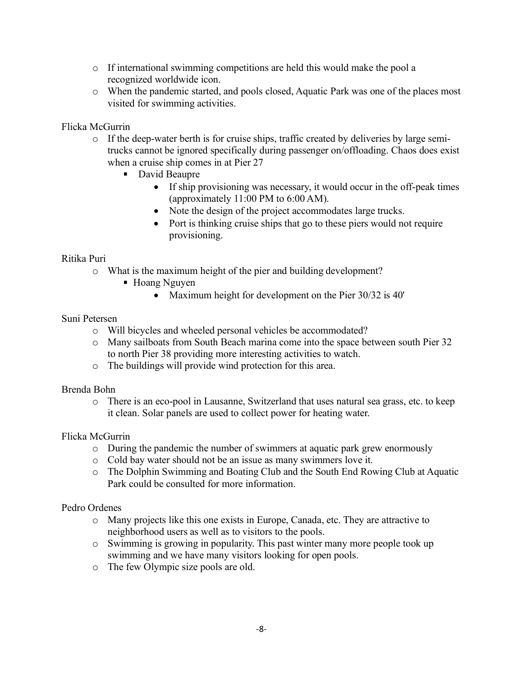- o If international swimming competitions are held this would make the pool a recognized worldwide icon.
- o When the pandemic started, and pools closed, Aquatic Park was one of the places most visited for swimming activities.

## Flicka McGurrin

- o If the deep-water berth is for cruise ships, traffic created by deliveries by large semitrucks cannot be ignored specifically during passenger on/offloading. Chaos does exist when a cruise ship comes in at Pier 27
	- David Beaupre
		- If ship provisioning was necessary, it would occur in the off-peak times (approximately 11:00 PM to 6:00 AM).
		- Note the design of the project accommodates large trucks.
		- Port is thinking cruise ships that go to these piers would not require provisioning.

#### Ritika Puri

- o What is the maximum height of the pier and building development?
	- Hoang Nguyen
		- Maximum height for development on the Pier 30/32 is 40'

#### Suni Petersen

- o Will bicycles and wheeled personal vehicles be accommodated?
- o Many sailboats from South Beach marina come into the space between south Pier 32 to north Pier 38 providing more interesting activities to watch.
- o The buildings will provide wind protection for this area.

#### Brenda Bohn

o There is an eco-pool in Lausanne, Switzerland that uses natural sea grass, etc. to keep it clean. Solar panels are used to collect power for heating water.

#### Flicka McGurrin

- o During the pandemic the number of swimmers at aquatic park grew enormously
- o Cold bay water should not be an issue as many swimmers love it.
- o The Dolphin Swimming and Boating Club and the South End Rowing Club at Aquatic Park could be consulted for more information.

#### Pedro Ordenes

- o Many projects like this one exists in Europe, Canada, etc. They are attractive to neighborhood users as well as to visitors to the pools.
- o Swimming is growing in popularity. This past winter many more people took up swimming and we have many visitors looking for open pools.
- o The few Olympic size pools are old.